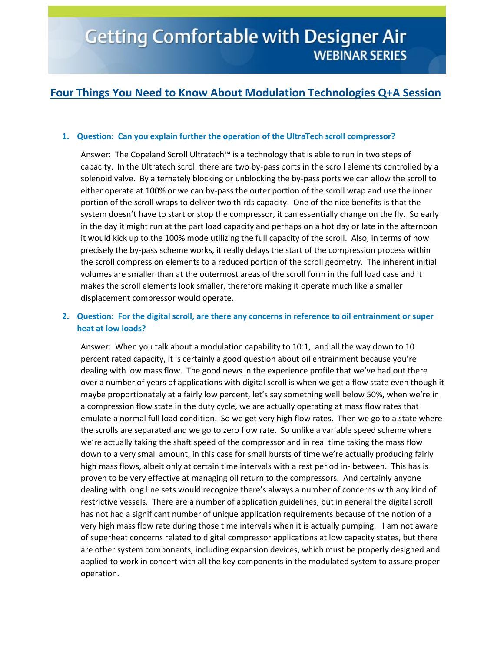# **Four Things You Need to Know About Modulation Technologies Q+A Session**

#### **1. Question: Can you explain further the operation of the UltraTech scroll compressor?**

Answer: The Copeland Scroll Ultratech™ is a technology that is able to run in two steps of capacity. In the Ultratech scroll there are two by-pass ports in the scroll elements controlled by a solenoid valve. By alternately blocking or unblocking the by-pass ports we can allow the scroll to either operate at 100% or we can by-pass the outer portion of the scroll wrap and use the inner portion of the scroll wraps to deliver two thirds capacity. One of the nice benefits is that the system doesn't have to start or stop the compressor, it can essentially change on the fly. So early in the day it might run at the part load capacity and perhaps on a hot day or late in the afternoon it would kick up to the 100% mode utilizing the full capacity of the scroll. Also, in terms of how precisely the by-pass scheme works, it really delays the start of the compression process within the scroll compression elements to a reduced portion of the scroll geometry. The inherent initial volumes are smaller than at the outermost areas of the scroll form in the full load case and it makes the scroll elements look smaller, therefore making it operate much like a smaller displacement compressor would operate.

### **2. Question: For the digital scroll, are there any concerns in reference to oil entrainment or super heat at low loads?**

Answer: When you talk about a modulation capability to 10:1, and all the way down to 10 percent rated capacity, it is certainly a good question about oil entrainment because you're dealing with low mass flow. The good news in the experience profile that we've had out there over a number of years of applications with digital scroll is when we get a flow state even though it maybe proportionately at a fairly low percent, let's say something well below 50%, when we're in a compression flow state in the duty cycle, we are actually operating at mass flow rates that emulate a normal full load condition. So we get very high flow rates. Then we go to a state where the scrolls are separated and we go to zero flow rate. So unlike a variable speed scheme where we're actually taking the shaft speed of the compressor and in real time taking the mass flow down to a very small amount, in this case for small bursts of time we're actually producing fairly high mass flows, albeit only at certain time intervals with a rest period in- between. This has is proven to be very effective at managing oil return to the compressors. And certainly anyone dealing with long line sets would recognize there's always a number of concerns with any kind of restrictive vessels. There are a number of application guidelines, but in general the digital scroll has not had a significant number of unique application requirements because of the notion of a very high mass flow rate during those time intervals when it is actually pumping. I am not aware of superheat concerns related to digital compressor applications at low capacity states, but there are other system components, including expansion devices, which must be properly designed and applied to work in concert with all the key components in the modulated system to assure proper operation.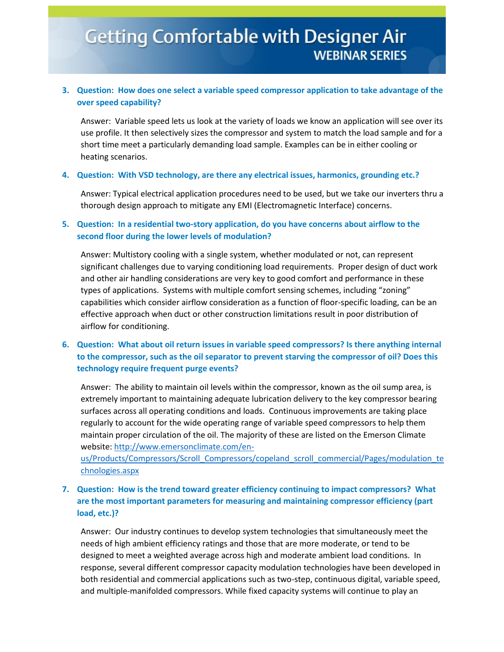# **Getting Comfortable with Designer Air WEBINAR SERIES**

# **3. Question: How does one select a variable speed compressor application to take advantage of the over speed capability?**

Answer: Variable speed lets us look at the variety of loads we know an application will see over its use profile. It then selectively sizes the compressor and system to match the load sample and for a short time meet a particularly demanding load sample. Examples can be in either cooling or heating scenarios.

#### **4. Question: With VSD technology, are there any electrical issues, harmonics, grounding etc.?**

Answer: Typical electrical application procedures need to be used, but we take our inverters thru a thorough design approach to mitigate any EMI (Electromagnetic Interface) concerns.

#### **5. Question: In a residential two-story application, do you have concerns about airflow to the second floor during the lower levels of modulation?**

Answer: Multistory cooling with a single system, whether modulated or not, can represent significant challenges due to varying conditioning load requirements. Proper design of duct work and other air handling considerations are very key to good comfort and performance in these types of applications. Systems with multiple comfort sensing schemes, including "zoning" capabilities which consider airflow consideration as a function of floor-specific loading, can be an effective approach when duct or other construction limitations result in poor distribution of airflow for conditioning.

# **6. Question: What about oil return issues in variable speed compressors? Is there anything internal to the compressor, such as the oil separator to prevent starving the compressor of oil? Does this technology require frequent purge events?**

Answer: The ability to maintain oil levels within the compressor, known as the oil sump area, is extremely important to maintaining adequate lubrication delivery to the key compressor bearing surfaces across all operating conditions and loads. Continuous improvements are taking place regularly to account for the wide operating range of variable speed compressors to help them maintain proper circulation of the oil. The majority of these are listed on the Emerson Climate website[: http://www.emersonclimate.com/en-](http://www.emersonclimate.com/en-us/Products/Compressors/Scroll_Compressors/copeland_scroll_commercial/Pages/modulation_technologies.aspx)

[us/Products/Compressors/Scroll\\_Compressors/copeland\\_scroll\\_commercial/Pages/modulation\\_te](http://www.emersonclimate.com/en-us/Products/Compressors/Scroll_Compressors/copeland_scroll_commercial/Pages/modulation_technologies.aspx) [chnologies.aspx](http://www.emersonclimate.com/en-us/Products/Compressors/Scroll_Compressors/copeland_scroll_commercial/Pages/modulation_technologies.aspx)

### **7. Question: How is the trend toward greater efficiency continuing to impact compressors? What are the most important parameters for measuring and maintaining compressor efficiency (part load, etc.)?**

Answer: Our industry continues to develop system technologies that simultaneously meet the needs of high ambient efficiency ratings and those that are more moderate, or tend to be designed to meet a weighted average across high and moderate ambient load conditions. In response, several different compressor capacity modulation technologies have been developed in both residential and commercial applications such as two-step, continuous digital, variable speed, and multiple-manifolded compressors. While fixed capacity systems will continue to play an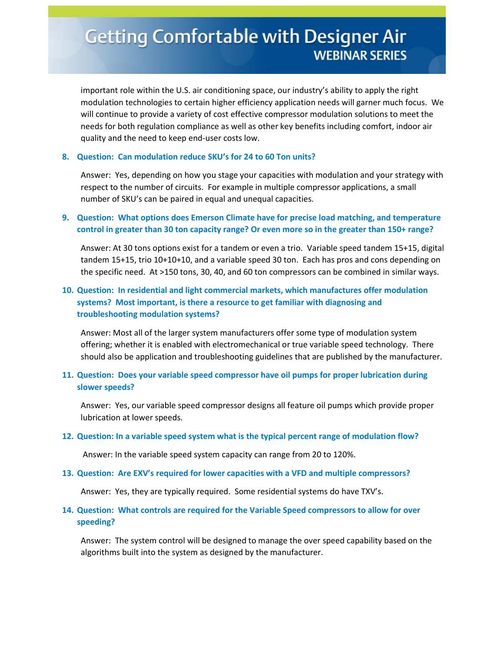important role within the U.S. air conditioning space, our industry's ability to apply the right modulation technologies to certain higher efficiency application needs will garner much focus. We will continue to provide a variety of cost effective compressor modulation solutions to meet the needs for both regulation compliance as well as other key benefits including comfort, indoor air quality and the need to keep end-user costs low.

#### **8. Question: Can modulation reduce SKU's for 24 to 60 Ton units?**

Answer: Yes, depending on how you stage your capacities with modulation and your strategy with respect to the number of circuits. For example in multiple compressor applications, a small number of SKU's can be paired in equal and unequal capacities.

### **9. Question: What options does Emerson Climate have for precise load matching, and temperature control in greater than 30 ton capacity range? Or even more so in the greater than 150+ range?**

Answer: At 30 tons options exist for a tandem or even a trio. Variable speed tandem 15+15, digital tandem 15+15, trio 10+10+10, and a variable speed 30 ton. Each has pros and cons depending on the specific need. At >150 tons, 30, 40, and 60 ton compressors can be combined in similar ways.

# **10. Question: In residential and light commercial markets, which manufactures offer modulation systems? Most important, is there a resource to get familiar with diagnosing and troubleshooting modulation systems?**

Answer: Most all of the larger system manufacturers offer some type of modulation system offering; whether it is enabled with electromechanical or true variable speed technology. There should also be application and troubleshooting guidelines that are published by the manufacturer.

### **11. Question: Does your variable speed compressor have oil pumps for proper lubrication during slower speeds?**

Answer: Yes, our variable speed compressor designs all feature oil pumps which provide proper lubrication at lower speeds.

#### **12. Question: In a variable speed system what is the typical percent range of modulation flow?**

Answer: In the variable speed system capacity can range from 20 to 120%.

#### **13. Question: Are EXV's required for lower capacities with a VFD and multiple compressors?**

Answer: Yes, they are typically required. Some residential systems do have TXV's.

#### **14. Question: What controls are required for the Variable Speed compressors to allow for over speeding?**

Answer: The system control will be designed to manage the over speed capability based on the algorithms built into the system as designed by the manufacturer.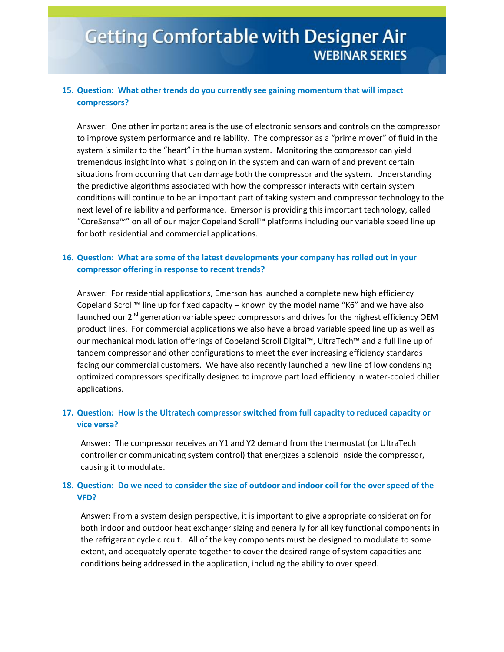# **Getting Comfortable with Designer Air WEBINAR SERIES**

# **15. Question: What other trends do you currently see gaining momentum that will impact compressors?**

Answer: One other important area is the use of electronic sensors and controls on the compressor to improve system performance and reliability. The compressor as a "prime mover" of fluid in the system is similar to the "heart" in the human system. Monitoring the compressor can yield tremendous insight into what is going on in the system and can warn of and prevent certain situations from occurring that can damage both the compressor and the system. Understanding the predictive algorithms associated with how the compressor interacts with certain system conditions will continue to be an important part of taking system and compressor technology to the next level of reliability and performance. Emerson is providing this important technology, called "CoreSense™" on all of our major Copeland Scroll™ platforms including our variable speed line up for both residential and commercial applications.

#### **16. Question: What are some of the latest developments your company has rolled out in your compressor offering in response to recent trends?**

Answer: For residential applications, Emerson has launched a complete new high efficiency Copeland Scroll™ line up for fixed capacity – known by the model name "K6" and we have also launched our  $2^{nd}$  generation variable speed compressors and drives for the highest efficiency OEM product lines. For commercial applications we also have a broad variable speed line up as well as our mechanical modulation offerings of Copeland Scroll Digital™, UltraTech™ and a full line up of tandem compressor and other configurations to meet the ever increasing efficiency standards facing our commercial customers. We have also recently launched a new line of low condensing optimized compressors specifically designed to improve part load efficiency in water-cooled chiller applications.

#### **17. Question: How is the Ultratech compressor switched from full capacity to reduced capacity or vice versa?**

Answer: The compressor receives an Y1 and Y2 demand from the thermostat (or UltraTech controller or communicating system control) that energizes a solenoid inside the compressor, causing it to modulate.

#### **18. Question: Do we need to consider the size of outdoor and indoor coil for the over speed of the VFD?**

Answer: From a system design perspective, it is important to give appropriate consideration for both indoor and outdoor heat exchanger sizing and generally for all key functional components in the refrigerant cycle circuit. All of the key components must be designed to modulate to some extent, and adequately operate together to cover the desired range of system capacities and conditions being addressed in the application, including the ability to over speed.